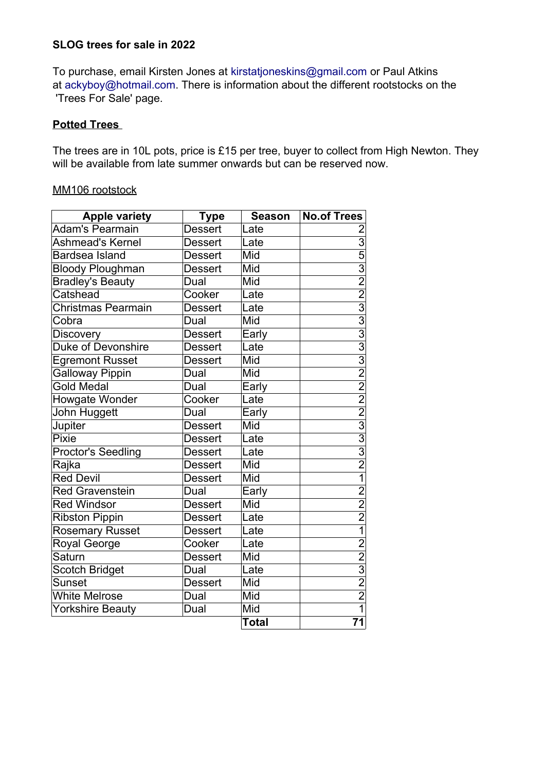#### **SLOG trees for sale in 2022**

 'Trees For Sale' page. To purchase, email Kirsten Jones at [kirstatjoneskins@gmail.com](mailto:kirstatjoneskins@gmail.com) or Paul Atkins at [ackyboy@hotmail.com.](mailto:ackyboy@hotmail.com) There is information about the different rootstocks on the

#### **Potted Trees**

The trees are in 10L pots, price is £15 per tree, buyer to collect from High Newton. They will be available from late summer onwards but can be reserved now.

#### MM106 rootstock

| <b>Apple variety</b>      | Type           | <b>Season</b> | <b>No.of Trees</b>       |
|---------------------------|----------------|---------------|--------------------------|
| <b>Adam's Pearmain</b>    | <b>Dessert</b> | Late          |                          |
| Ashmead's Kernel          | <b>Dessert</b> | Late          | $\overline{3}$           |
| <b>Bardsea Island</b>     | <b>Dessert</b> | Mid           | $\overline{5}$           |
| <b>Bloody Ploughman</b>   | Dessert        | Mid           | $\frac{3}{2}$            |
| <b>Bradley's Beauty</b>   | Dual           | Mid           |                          |
| Catshead                  | Cooker         | Late          | $\overline{2}$           |
| <b>Christmas Pearmain</b> | Dessert        | Late          | $\frac{3}{3}$            |
| Cobra                     | Dual           | Mid           |                          |
| <b>Discovery</b>          | Dessert        | Early         | $\overline{3}$           |
| <b>Duke of Devonshire</b> | <b>Dessert</b> | Late          | $\frac{3}{3}$            |
| <b>Egremont Russet</b>    | <b>Dessert</b> | Mid           |                          |
| Galloway Pippin           | Dual           | Mid           | $\overline{2}$           |
| <b>Gold Medal</b>         | Dual           | Early         | $\frac{2}{2}$            |
| Howgate Wonder            | Cooker         | Late          |                          |
| John Huggett              | Dual           | Early         | $\overline{2}$           |
| Jupiter                   | <b>Dessert</b> | Mid           | $\frac{1}{3}$            |
| Pixie                     | <b>Dessert</b> | Late          | $\overline{3}$           |
| Proctor's Seedling        | <b>Dessert</b> | Late          | $\frac{3}{2}$            |
| Rajka                     | <b>Dessert</b> | Mid           |                          |
| <b>Red Devil</b>          | <b>Dessert</b> | Mid           | $\overline{1}$           |
| <b>Red Gravenstein</b>    | Dual           | Early         | $\frac{\overline{2}}{2}$ |
| <b>Red Windsor</b>        | <b>Dessert</b> | Mid           |                          |
| <b>Ribston Pippin</b>     | <b>Dessert</b> | Late          | $\overline{2}$           |
| Rosemary Russet           | <b>Dessert</b> | Late          | $\overline{1}$           |
| Royal George              | Cooker         | Late          | $\overline{2}$           |
| Saturn                    | <b>Dessert</b> | Mid           | $\frac{2}{3}$            |
| Scotch Bridget            | Dual           | Late          |                          |
| <b>Sunset</b>             | <b>Dessert</b> | Mid           |                          |
| <b>White Melrose</b>      | Dual           | Mid           | $\overline{2}$           |
| <b>Yorkshire Beauty</b>   | Dual           | Mid           | $\overline{1}$           |
|                           |                | <b>Total</b>  | 71                       |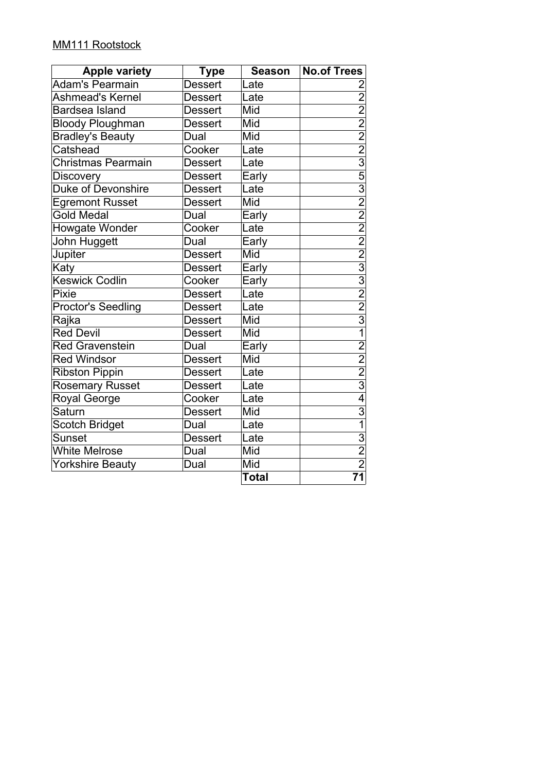### MM111 Rootstock

| <b>Apple variety</b>      | <b>Type</b>    | <b>Season</b> | <b>No.of Trees</b>                                                                                                                                                                                        |
|---------------------------|----------------|---------------|-----------------------------------------------------------------------------------------------------------------------------------------------------------------------------------------------------------|
| <b>Adam's Pearmain</b>    | <b>Dessert</b> | Late          | 2                                                                                                                                                                                                         |
| Ashmead's Kernel          | <b>Dessert</b> | Late          |                                                                                                                                                                                                           |
| <b>Bardsea Island</b>     | <b>Dessert</b> | Mid           |                                                                                                                                                                                                           |
| <b>Bloody Ploughman</b>   | <b>Dessert</b> | Mid           |                                                                                                                                                                                                           |
| <b>Bradley's Beauty</b>   | Dual           | Mid           |                                                                                                                                                                                                           |
| Catshead                  | Cooker         | Late          |                                                                                                                                                                                                           |
| <b>Christmas Pearmain</b> | <b>Dessert</b> | Late          |                                                                                                                                                                                                           |
| <b>Discovery</b>          | <b>Dessert</b> | Early         |                                                                                                                                                                                                           |
| <b>Duke of Devonshire</b> | Dessert        | Late          |                                                                                                                                                                                                           |
| <b>Egremont Russet</b>    | <b>Dessert</b> | Mid           | $2\overline{)2\overline{)2\overline{)2\overline{3}}}$ $3\overline{)2\overline{)3\overline{)3}}$ $2\overline{)2\overline{)3\overline{)2}}$ $3\overline{)2\overline{)2}}$ $3\overline{)2\overline{)3}}$ $1$ |
| <b>Gold Medal</b>         | Dual           | Early         |                                                                                                                                                                                                           |
| Howgate Wonder            | Cooker         | Late          |                                                                                                                                                                                                           |
| John Huggett              | Dual           | Early         |                                                                                                                                                                                                           |
| Jupiter                   | <b>Dessert</b> | Mid           |                                                                                                                                                                                                           |
| Katy                      | <b>Dessert</b> | Early         |                                                                                                                                                                                                           |
| <b>Keswick Codlin</b>     | Cooker         | Early         |                                                                                                                                                                                                           |
| Pixie                     | <b>Dessert</b> | Late          |                                                                                                                                                                                                           |
| <b>Proctor's Seedling</b> | <b>Dessert</b> | Late          |                                                                                                                                                                                                           |
| Rajka                     | <b>Dessert</b> | Mid           |                                                                                                                                                                                                           |
| <b>Red Devil</b>          | <b>Dessert</b> | Mid           |                                                                                                                                                                                                           |
| <b>Red Gravenstein</b>    | Dual           | Early         |                                                                                                                                                                                                           |
| <b>Red Windsor</b>        | <b>Dessert</b> | Mid           |                                                                                                                                                                                                           |
| <b>Ribston Pippin</b>     | <b>Dessert</b> | Late          | $\frac{2}{2}$ $\frac{2}{3}$ $\frac{3}{4}$                                                                                                                                                                 |
| <b>Rosemary Russet</b>    | <b>Dessert</b> | Late          |                                                                                                                                                                                                           |
| Royal George              | Cooker         | Late          |                                                                                                                                                                                                           |
| Saturn                    | <b>Dessert</b> | Mid           | $\frac{3}{1}$                                                                                                                                                                                             |
| Scotch Bridget            | Dual           | Late          |                                                                                                                                                                                                           |
| Sunset                    | <b>Dessert</b> | Late          | $\frac{3}{2}$                                                                                                                                                                                             |
| <b>White Melrose</b>      | Dual           | Mid           |                                                                                                                                                                                                           |
| <b>Yorkshire Beauty</b>   | Dual           | Mid           | $\overline{2}$                                                                                                                                                                                            |
|                           |                | Total         | $\overline{71}$                                                                                                                                                                                           |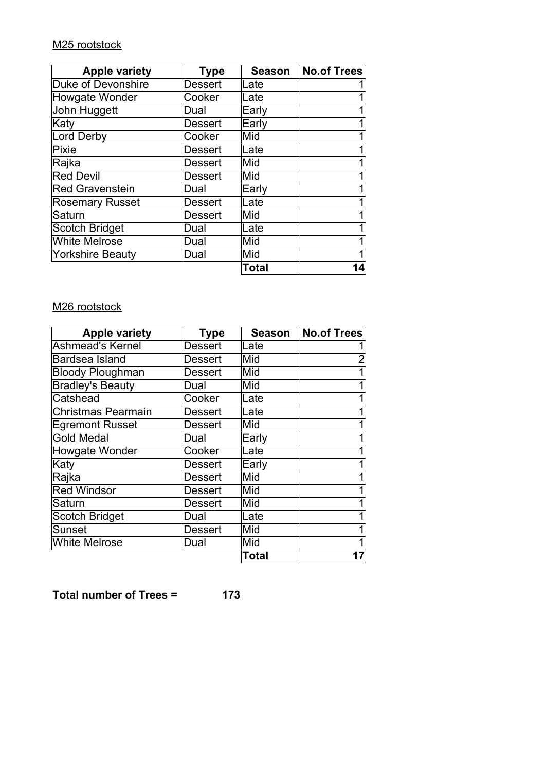# M25 rootstock

| <b>Apple variety</b>    | Type           | <b>Season</b> | <b>No.of Trees</b> |
|-------------------------|----------------|---------------|--------------------|
| Duke of Devonshire      | <b>Dessert</b> | Late          |                    |
| Howgate Wonder          | Cooker         | Late          |                    |
| John Huggett            | Dual           | Early         |                    |
| Katy                    | <b>Dessert</b> | Early         | 1                  |
| Lord Derby              | Cooker         | Mid           |                    |
| Pixie                   | <b>Dessert</b> | Late          |                    |
| Rajka                   | <b>Dessert</b> | Mid           | 1                  |
| <b>Red Devil</b>        | <b>Dessert</b> | Mid           |                    |
| <b>Red Gravenstein</b>  | Dual           | Early         |                    |
| <b>Rosemary Russet</b>  | <b>Dessert</b> | Late          |                    |
| Saturn                  | <b>Dessert</b> | Mid           |                    |
| <b>Scotch Bridget</b>   | Dual           | Late          | 1                  |
| <b>White Melrose</b>    | Dual           | Mid           | 1                  |
| <b>Yorkshire Beauty</b> | Dual           | Mid           |                    |
|                         |                | Total         | 14                 |

# M26 rootstock

| <b>Apple variety</b>      | <b>Type</b> | Season | <b>No.of Trees</b> |
|---------------------------|-------------|--------|--------------------|
| Ashmead's Kernel          | Dessert     | Late   |                    |
| Bardsea Island            | Dessert     | Mid    |                    |
| <b>Bloody Ploughman</b>   | Dessert     | Mid    |                    |
| <b>Bradley's Beauty</b>   | Dual        | Mid    |                    |
| Catshead                  | Cooker      | Late   |                    |
| <b>Christmas Pearmain</b> | Dessert     | Late   |                    |
| <b>Egremont Russet</b>    | Dessert     | Mid    |                    |
| <b>Gold Medal</b>         | Dual        | Early  |                    |
| Howgate Wonder            | Cooker      | Late   |                    |
| Katy                      | Dessert     | Early  |                    |
| Rajka                     | Dessert     | Mid    |                    |
| <b>Red Windsor</b>        | Dessert     | Mid    |                    |
| Saturn                    | Dessert     | Mid    |                    |
| <b>Scotch Bridget</b>     | Dual        | Late   |                    |
| Sunset                    | Dessert     | Mid    |                    |
| <b>White Melrose</b>      | Dual        | Mid    |                    |
|                           |             | Total  |                    |

**Total number of Trees = 173**

$$
173
$$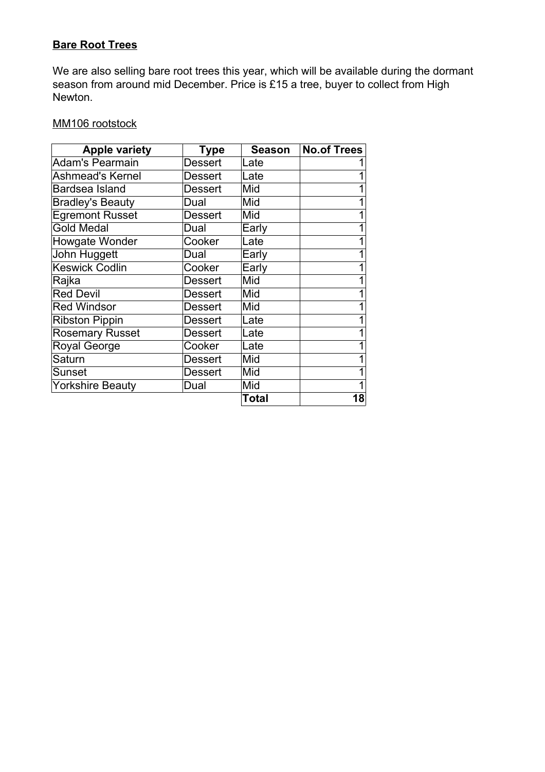# **Bare Root Trees**

We are also selling bare root trees this year, which will be available during the dormant season from around mid December. Price is £15 a tree, buyer to collect from High Newton.

## MM106 rootstock

| <b>Apple variety</b>    | <b>Type</b>    | <b>Season</b> | <b>No.of Trees</b> |
|-------------------------|----------------|---------------|--------------------|
| <b>Adam's Pearmain</b>  | Dessert        | Late          |                    |
| <b>Ashmead's Kernel</b> | Dessert        | Late          |                    |
| Bardsea Island          | Dessert        | Mid           |                    |
| <b>Bradley's Beauty</b> | Dual           | Mid           |                    |
| Egremont Russet         | Dessert        | Mid           |                    |
| <b>Gold Medal</b>       | Dual           | Early         |                    |
| Howgate Wonder          | Cooker         | Late          |                    |
| John Huggett            | Dual           | Early         |                    |
| <b>Keswick Codlin</b>   | Cooker         | Early         |                    |
| Rajka                   | Dessert        | Mid           |                    |
| <b>Red Devil</b>        | Dessert        | Mid           |                    |
| <b>Red Windsor</b>      | Dessert        | Mid           |                    |
| <b>Ribston Pippin</b>   | Dessert        | Late          |                    |
| <b>Rosemary Russet</b>  | <b>Dessert</b> | Late          |                    |
| Royal George            | Cooker         | Late          |                    |
| Saturn                  | Dessert        | Mid           |                    |
| Sunset                  | Dessert        | Mid           |                    |
| <b>Yorkshire Beauty</b> | Dual           | Mid           |                    |
|                         |                | Total         | 18                 |